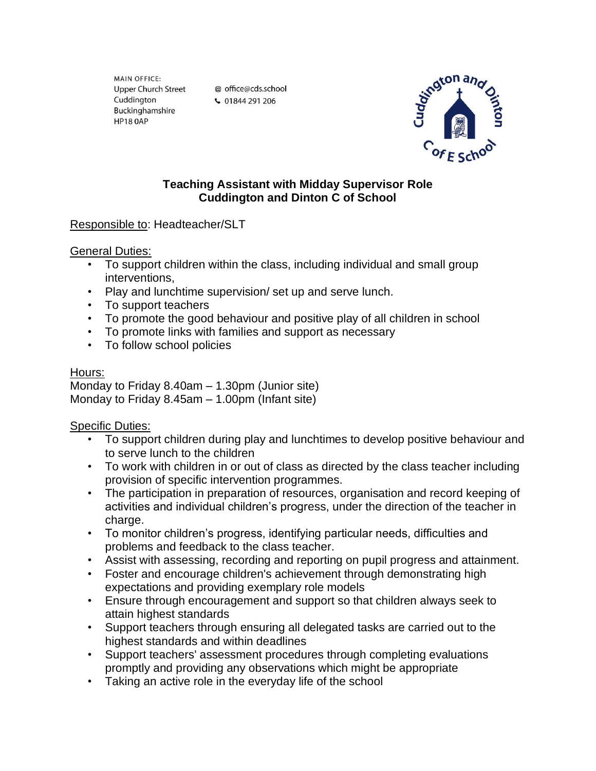MAIN OFFICE: **Upper Church Street** Cuddington Buckinghamshire **HP18 0AP** 

@ office@cds.school ↓ 01844 291 206



## **Teaching Assistant with Midday Supervisor Role Cuddington and Dinton C of School**

# Responsible to: Headteacher/SLT

#### General Duties:

- To support children within the class, including individual and small group interventions,
- Play and lunchtime supervision/ set up and serve lunch.
- To support teachers
- To promote the good behaviour and positive play of all children in school
- To promote links with families and support as necessary
- To follow school policies

## Hours:

Monday to Friday 8.40am – 1.30pm (Junior site) Monday to Friday 8.45am – 1.00pm (Infant site)

## Specific Duties:

- To support children during play and lunchtimes to develop positive behaviour and to serve lunch to the children
- To work with children in or out of class as directed by the class teacher including provision of specific intervention programmes.
- The participation in preparation of resources, organisation and record keeping of activities and individual children's progress, under the direction of the teacher in charge.
- To monitor children's progress, identifying particular needs, difficulties and problems and feedback to the class teacher.
- Assist with assessing, recording and reporting on pupil progress and attainment.
- Foster and encourage children's achievement through demonstrating high expectations and providing exemplary role models
- Ensure through encouragement and support so that children always seek to attain highest standards
- Support teachers through ensuring all delegated tasks are carried out to the highest standards and within deadlines
- Support teachers' assessment procedures through completing evaluations promptly and providing any observations which might be appropriate
- Taking an active role in the everyday life of the school